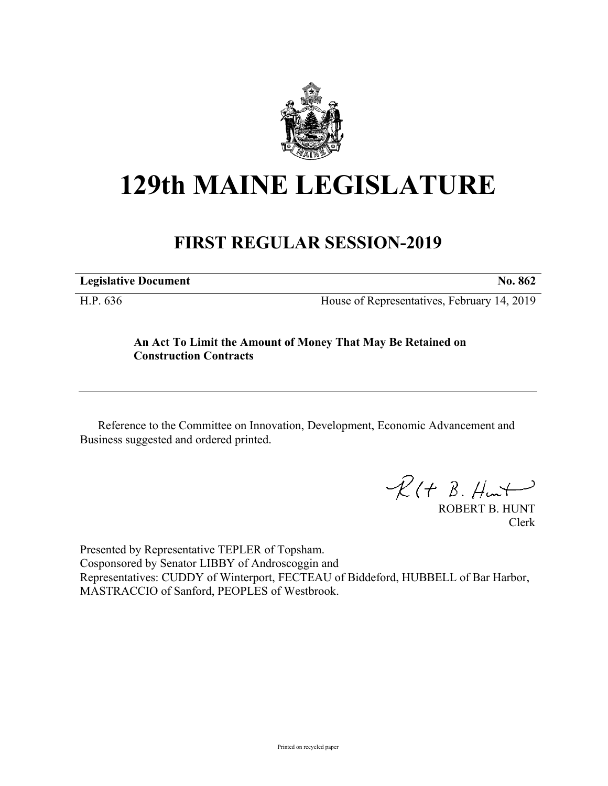

## **129th MAINE LEGISLATURE**

## **FIRST REGULAR SESSION-2019**

**Legislative Document No. 862**

H.P. 636 House of Representatives, February 14, 2019

## **An Act To Limit the Amount of Money That May Be Retained on Construction Contracts**

Reference to the Committee on Innovation, Development, Economic Advancement and Business suggested and ordered printed.

 $\mathcal{R}(t \; \mathcal{B}, \mathcal{H}_{\mathsf{int}})$ 

ROBERT B. HUNT Clerk

Presented by Representative TEPLER of Topsham. Cosponsored by Senator LIBBY of Androscoggin and Representatives: CUDDY of Winterport, FECTEAU of Biddeford, HUBBELL of Bar Harbor, MASTRACCIO of Sanford, PEOPLES of Westbrook.